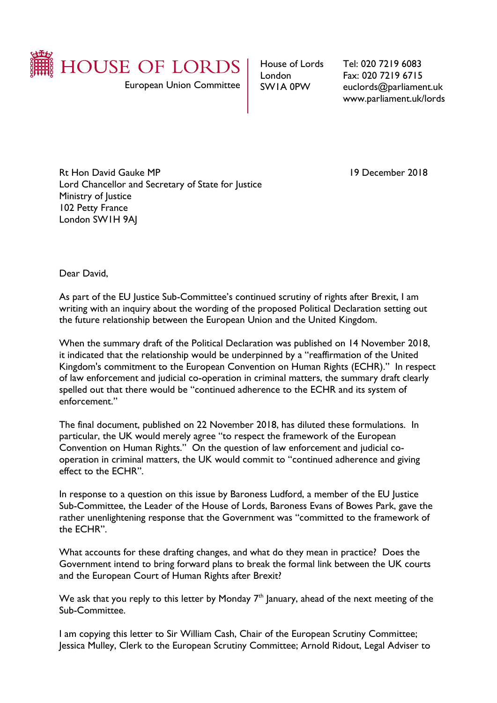

European Union Committee

House of Lords London SW1A 0PW

Tel: 020 7219 6083 Fax: 020 7219 6715 euclords@parliament.uk www.parliament.uk/lords

Rt Hon David Gauke MP 19 December 2018 Lord Chancellor and Secretary of State for Justice Ministry of Justice 102 Petty France London SW1H 9AJ

Dear David,

As part of the EU Justice Sub-Committee's continued scrutiny of rights after Brexit, I am writing with an inquiry about the wording of the proposed Political Declaration setting out the future relationship between the European Union and the United Kingdom.

When the summary draft of the Political Declaration was published on 14 November 2018, it indicated that the relationship would be underpinned by a "reaffirmation of the United Kingdom's commitment to the European Convention on Human Rights (ECHR)." In respect of law enforcement and judicial co-operation in criminal matters, the summary draft clearly spelled out that there would be "continued adherence to the ECHR and its system of enforcement."

The final document, published on 22 November 2018, has diluted these formulations. In particular, the UK would merely agree "to respect the framework of the European Convention on Human Rights." On the question of law enforcement and judicial cooperation in criminal matters, the UK would commit to "continued adherence and giving effect to the ECHR".

In response to a question on this issue by Baroness Ludford, a member of the EU Justice Sub-Committee, the Leader of the House of Lords, Baroness Evans of Bowes Park, gave the rather unenlightening response that the Government was "committed to the framework of the ECHR".

What accounts for these drafting changes, and what do they mean in practice? Does the Government intend to bring forward plans to break the formal link between the UK courts and the European Court of Human Rights after Brexit?

We ask that you reply to this letter by Monday  $7<sup>th</sup>$  January, ahead of the next meeting of the Sub-Committee.

I am copying this letter to Sir William Cash, Chair of the European Scrutiny Committee; Jessica Mulley, Clerk to the European Scrutiny Committee; Arnold Ridout, Legal Adviser to